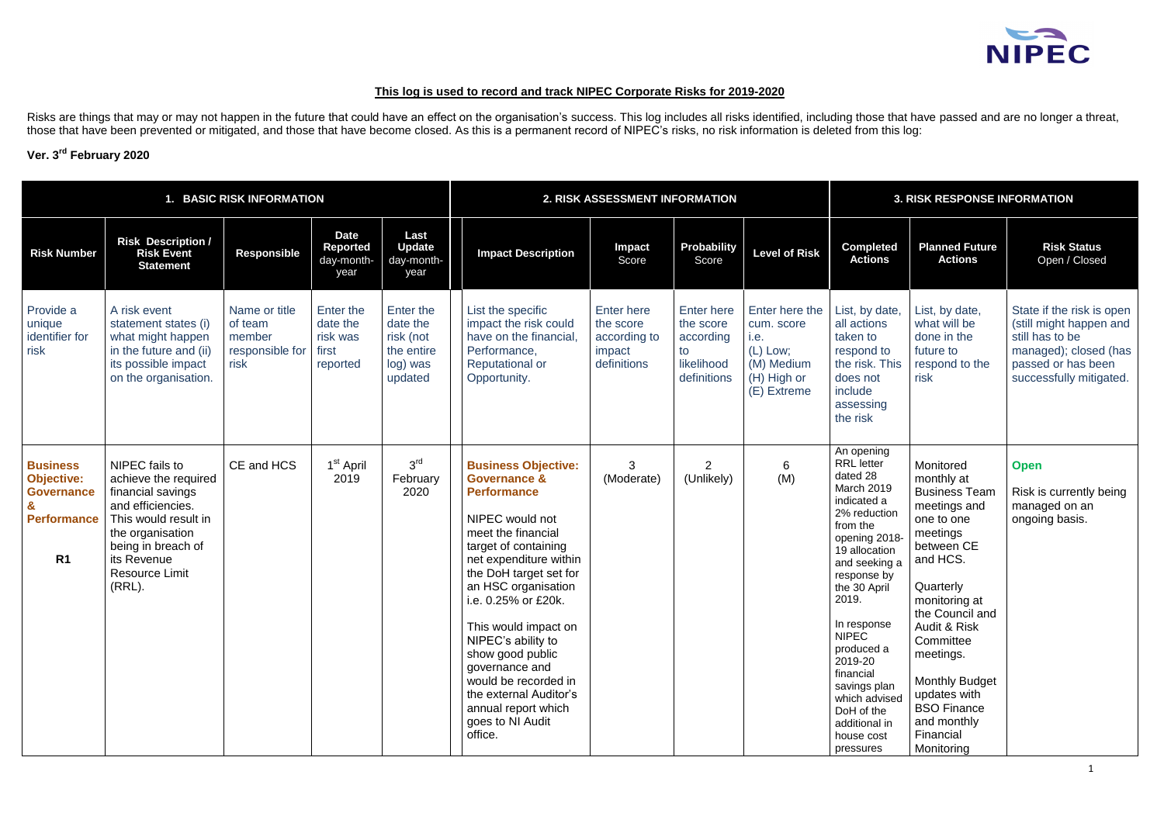## **This log is used to record and track NIPEC Corporate Risks for 2019-2020**

Risks are things that may or may not happen in the future that could have an effect on the organisation's success. This log includes all risks identified, including those that have passed and are no longer a threat, those that have been prevented or mitigated, and those that have become closed. As this is a permanent record of NIPEC's risks, no risk information is deleted from this log:

### **Ver. 3 rd February 2020**

| 1. BASIC RISK INFORMATION                                                                         |                                                                                                                                                                                                      |                                                               |                                                        |                                                                         |                                                                                                                                                                                                                                                                                                                                                                                                                                            | 2. RISK ASSESSMENT INFORMATION                                          |                                                                         | <b>3. RISK RESPONSE INFORMATION</b>                                                            |                                                                                                                                                                                                                                                                                                                                                                 |                                                                                                                                                                                                                                                                                                                         |                                                                                                                                                   |
|---------------------------------------------------------------------------------------------------|------------------------------------------------------------------------------------------------------------------------------------------------------------------------------------------------------|---------------------------------------------------------------|--------------------------------------------------------|-------------------------------------------------------------------------|--------------------------------------------------------------------------------------------------------------------------------------------------------------------------------------------------------------------------------------------------------------------------------------------------------------------------------------------------------------------------------------------------------------------------------------------|-------------------------------------------------------------------------|-------------------------------------------------------------------------|------------------------------------------------------------------------------------------------|-----------------------------------------------------------------------------------------------------------------------------------------------------------------------------------------------------------------------------------------------------------------------------------------------------------------------------------------------------------------|-------------------------------------------------------------------------------------------------------------------------------------------------------------------------------------------------------------------------------------------------------------------------------------------------------------------------|---------------------------------------------------------------------------------------------------------------------------------------------------|
| <b>Risk Number</b>                                                                                | <b>Risk Description /</b><br><b>Risk Event</b><br><b>Statement</b>                                                                                                                                   | <b>Responsible</b>                                            | <b>Date</b><br>Reported<br>day-month-<br>year          | Last<br><b>Update</b><br>day-month-<br>year                             | <b>Impact Description</b>                                                                                                                                                                                                                                                                                                                                                                                                                  | <b>Impact</b><br>Score                                                  | Probability<br>Score                                                    | <b>Level of Risk</b>                                                                           | <b>Completed</b><br><b>Actions</b>                                                                                                                                                                                                                                                                                                                              | <b>Planned Future</b><br><b>Actions</b>                                                                                                                                                                                                                                                                                 | <b>Risk Status</b><br>Open / Closed                                                                                                               |
| Provide a<br>unique<br>identifier for<br>risk                                                     | A risk event<br>statement states (i)<br>what might happen<br>in the future and (ii)<br>its possible impact<br>on the organisation.                                                                   | Name or title<br>of team<br>member<br>responsible for<br>risk | Enter the<br>date the<br>risk was<br>first<br>reported | Enter the<br>date the<br>risk (not<br>the entire<br>log) was<br>updated | List the specific<br>impact the risk could<br>have on the financial,<br>Performance,<br><b>Reputational or</b><br>Opportunity.                                                                                                                                                                                                                                                                                                             | <b>Enter here</b><br>the score<br>according to<br>impact<br>definitions | Enter here<br>the score<br>according<br>to<br>likelihood<br>definitions | Enter here the<br>cum. score<br>i.e.<br>$(L)$ Low;<br>(M) Medium<br>(H) High or<br>(E) Extreme | List, by date,<br>all actions<br>taken to<br>respond to<br>the risk. This<br>does not<br>include<br>assessing<br>the risk                                                                                                                                                                                                                                       | List, by date,<br>what will be<br>done in the<br>future to<br>respond to the<br>risk                                                                                                                                                                                                                                    | State if the risk is open<br>(still might happen and<br>still has to be<br>managed); closed (has<br>passed or has been<br>successfully mitigated. |
| <b>Business</b><br><b>Objective:</b><br><b>Governance</b><br><b>Performance</b><br>R <sub>1</sub> | NIPEC fails to<br>achieve the required<br>financial savings<br>and efficiencies.<br>This would result in<br>the organisation<br>being in breach of<br>its Revenue<br><b>Resource Limit</b><br>(RRL). | CE and HCS                                                    | 1 <sup>st</sup> April<br>2019                          | 3 <sup>rd</sup><br>February<br>2020                                     | <b>Business Objective:</b><br><b>Governance &amp;</b><br><b>Performance</b><br>NIPEC would not<br>meet the financial<br>target of containing<br>net expenditure within<br>the DoH target set for<br>an HSC organisation<br>i.e. 0.25% or £20k.<br>This would impact on<br>NIPEC's ability to<br>show good public<br>governance and<br>would be recorded in<br>the external Auditor's<br>annual report which<br>goes to NI Audit<br>office. | 3<br>(Moderate)                                                         | 2<br>(Unlikely)                                                         | 6<br>(M)                                                                                       | An opening<br><b>RRL</b> letter<br>dated 28<br>March 2019<br>indicated a<br>2% reduction<br>from the<br>opening 2018-<br>19 allocation<br>and seeking a<br>response by<br>the 30 April<br>2019.<br>In response<br><b>NIPEC</b><br>produced a<br>2019-20<br>financial<br>savings plan<br>which advised<br>DoH of the<br>additional in<br>house cost<br>pressures | Monitored<br>monthly at<br><b>Business Team</b><br>meetings and<br>one to one<br>meetings<br>between CE<br>and HCS.<br>Quarterly<br>monitoring at<br>the Council and<br>Audit & Risk<br>Committee<br>meetings.<br><b>Monthly Budget</b><br>updates with<br><b>BSO Finance</b><br>and monthly<br>Financial<br>Monitoring | <b>Open</b><br>Risk is currently being<br>managed on an<br>ongoing basis.                                                                         |

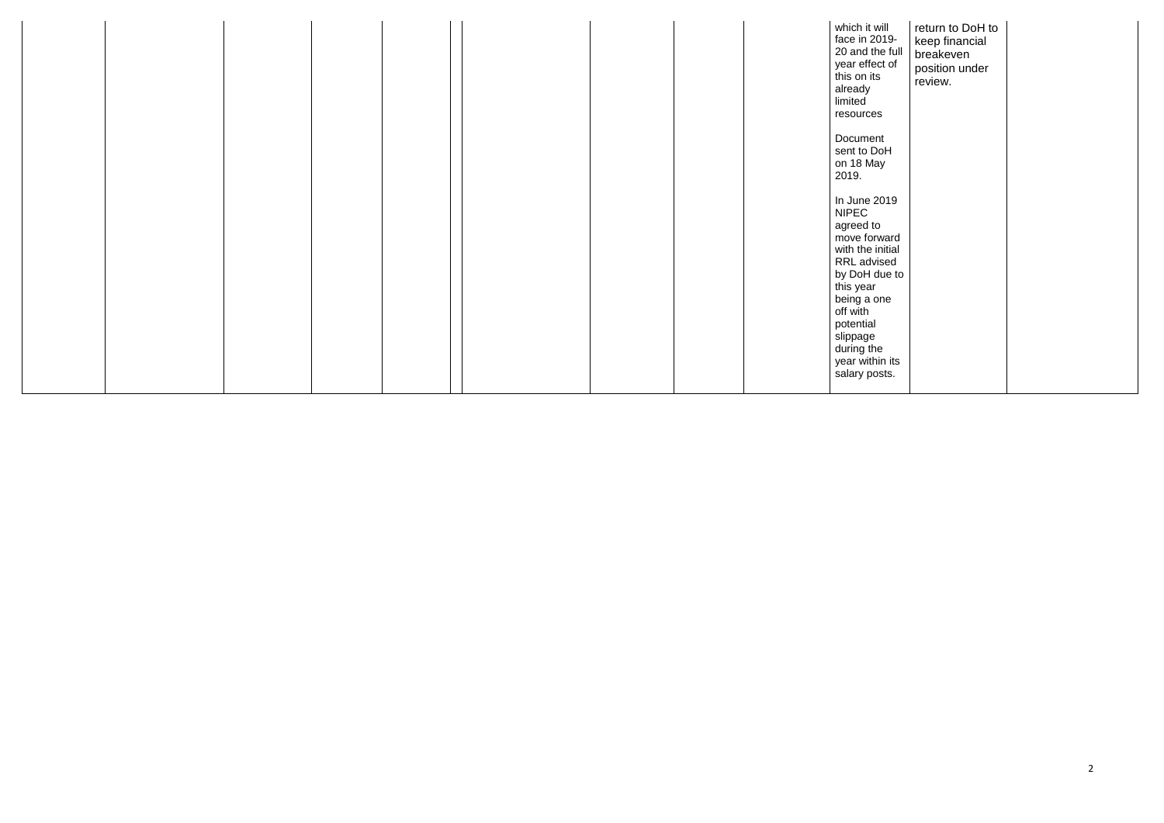|  |  |  | which it will<br>face in 2019-<br>20 and the full<br>year effect of<br>this on its<br>already<br>limited<br>resources                                              | return to DoH to<br>keep financial<br>breakeven<br>position under<br>review. |  |
|--|--|--|--------------------------------------------------------------------------------------------------------------------------------------------------------------------|------------------------------------------------------------------------------|--|
|  |  |  | Document<br>sent to DoH<br>on 18 May<br>2019.                                                                                                                      |                                                                              |  |
|  |  |  | In June 2019<br><b>NIPEC</b><br>agreed to<br>move forward<br>with the initial<br>RRL advised<br>by DoH due to<br>this year<br>being a one<br>off with<br>potential |                                                                              |  |
|  |  |  | slippage<br>during the<br>year within its<br>salary posts.                                                                                                         |                                                                              |  |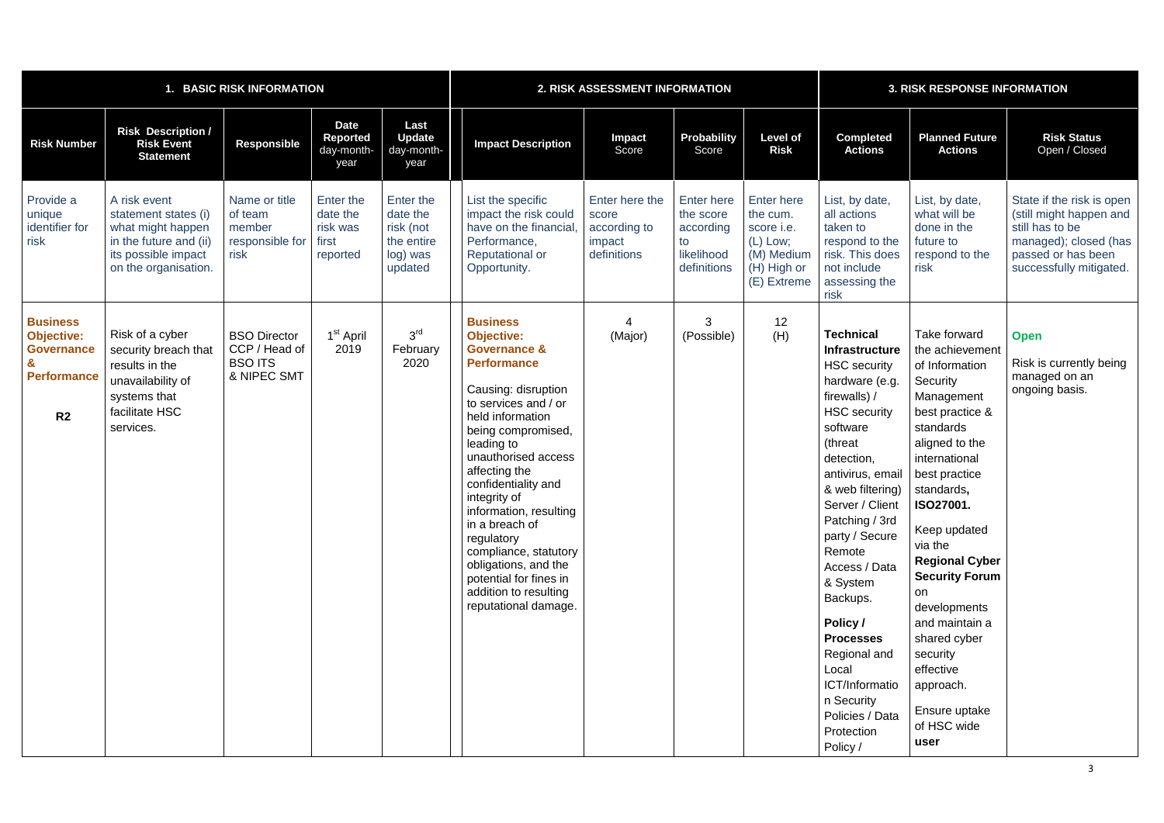|                                                                                                   | <b>BASIC RISK INFORMATION</b>                                                                                                      |                                                                       | 2. RISK ASSESSMENT INFORMATION                         |                                                                         |                                                                                                                                                                                                                                                                                                                                                                                                                                                                   |                                                                  | <b>3. RISK RESPONSE INFORMATION</b>                                            |                                                                                                       |                                                                                                                                                                                                                                                                                                                                                                                                                                                        |                                                                                                                                                                                                                                                                                                                                                                                                                      |                                                                                                                                                   |
|---------------------------------------------------------------------------------------------------|------------------------------------------------------------------------------------------------------------------------------------|-----------------------------------------------------------------------|--------------------------------------------------------|-------------------------------------------------------------------------|-------------------------------------------------------------------------------------------------------------------------------------------------------------------------------------------------------------------------------------------------------------------------------------------------------------------------------------------------------------------------------------------------------------------------------------------------------------------|------------------------------------------------------------------|--------------------------------------------------------------------------------|-------------------------------------------------------------------------------------------------------|--------------------------------------------------------------------------------------------------------------------------------------------------------------------------------------------------------------------------------------------------------------------------------------------------------------------------------------------------------------------------------------------------------------------------------------------------------|----------------------------------------------------------------------------------------------------------------------------------------------------------------------------------------------------------------------------------------------------------------------------------------------------------------------------------------------------------------------------------------------------------------------|---------------------------------------------------------------------------------------------------------------------------------------------------|
| <b>Risk Number</b>                                                                                | <b>Risk Description /</b><br><b>Risk Event</b><br><b>Statement</b>                                                                 | <b>Responsible</b>                                                    | <b>Date</b><br><b>Reported</b><br>day-month-<br>year   | Last<br><b>Update</b><br>day-month-<br>year                             | <b>Impact Description</b>                                                                                                                                                                                                                                                                                                                                                                                                                                         | <b>Impact</b><br>Score                                           | <b>Probability</b><br>Score                                                    | <b>Level of</b><br><b>Risk</b>                                                                        | <b>Completed</b><br><b>Actions</b>                                                                                                                                                                                                                                                                                                                                                                                                                     | <b>Planned Future</b><br><b>Actions</b>                                                                                                                                                                                                                                                                                                                                                                              | <b>Risk Status</b><br>Open / Closed                                                                                                               |
| Provide a<br>unique<br>identifier for<br>risk                                                     | A risk event<br>statement states (i)<br>what might happen<br>in the future and (ii)<br>its possible impact<br>on the organisation. | Name or title<br>of team<br>member<br>responsible for<br>risk         | Enter the<br>date the<br>risk was<br>first<br>reported | Enter the<br>date the<br>risk (not<br>the entire<br>log) was<br>updated | List the specific<br>impact the risk could<br>have on the financial<br>Performance,<br><b>Reputational or</b><br>Opportunity.                                                                                                                                                                                                                                                                                                                                     | Enter here the<br>score<br>according to<br>impact<br>definitions | <b>Enter here</b><br>the score<br>according<br>to<br>likelihood<br>definitions | <b>Enter here</b><br>the cum.<br>score i.e.<br>$(L)$ Low;<br>(M) Medium<br>(H) High or<br>(E) Extreme | List, by date,<br>all actions<br>taken to<br>respond to the<br>risk. This does<br>not include<br>assessing the<br>risk                                                                                                                                                                                                                                                                                                                                 | List, by date,<br>what will be<br>done in the<br>future to<br>respond to the<br>risk                                                                                                                                                                                                                                                                                                                                 | State if the risk is open<br>(still might happen and<br>still has to be<br>managed); closed (has<br>passed or has been<br>successfully mitigated. |
| <b>Business</b><br><b>Objective:</b><br><b>Governance</b><br><b>Performance</b><br>R <sub>2</sub> | Risk of a cyber<br>security breach that<br>results in the<br>unavailability of<br>systems that<br>facilitate HSC<br>services.      | <b>BSO Director</b><br>CCP / Head of<br><b>BSO ITS</b><br>& NIPEC SMT | 1 <sup>st</sup> April<br>2019                          | 3 <sup>rd</sup><br>February<br>2020                                     | <b>Business</b><br><b>Objective:</b><br><b>Governance &amp;</b><br><b>Performance</b><br>Causing: disruption<br>to services and / or<br>held information<br>being compromised,<br>leading to<br>unauthorised access<br>affecting the<br>confidentiality and<br>integrity of<br>information, resulting<br>in a breach of<br>regulatory<br>compliance, statutory<br>obligations, and the<br>potential for fines in<br>addition to resulting<br>reputational damage. | (Major)                                                          | 3<br>(Possible)                                                                | 12<br>(H)                                                                                             | <b>Technical</b><br><b>Infrastructure</b><br><b>HSC</b> security<br>hardware (e.g.<br>firewalls) /<br><b>HSC</b> security<br>software<br>(threat<br>detection,<br>antivirus, email<br>& web filtering)<br>Server / Client<br>Patching / 3rd<br>party / Secure<br>Remote<br>Access / Data<br>& System<br>Backups.<br>Policy /<br><b>Processes</b><br>Regional and<br>Local<br>ICT/Informatio<br>n Security<br>Policies / Data<br>Protection<br>Policy / | Take forward<br>the achievement<br>of Information<br>Security<br>Management<br>best practice &<br>standards<br>aligned to the<br>international<br>best practice<br>standards,<br><b>ISO27001.</b><br>Keep updated<br>via the<br><b>Regional Cyber</b><br><b>Security Forum</b><br>on<br>developments<br>and maintain a<br>shared cyber<br>security<br>effective<br>approach.<br>Ensure uptake<br>of HSC wide<br>user | <b>Open</b><br>Risk is currently being<br>managed on an<br>ongoing basis.                                                                         |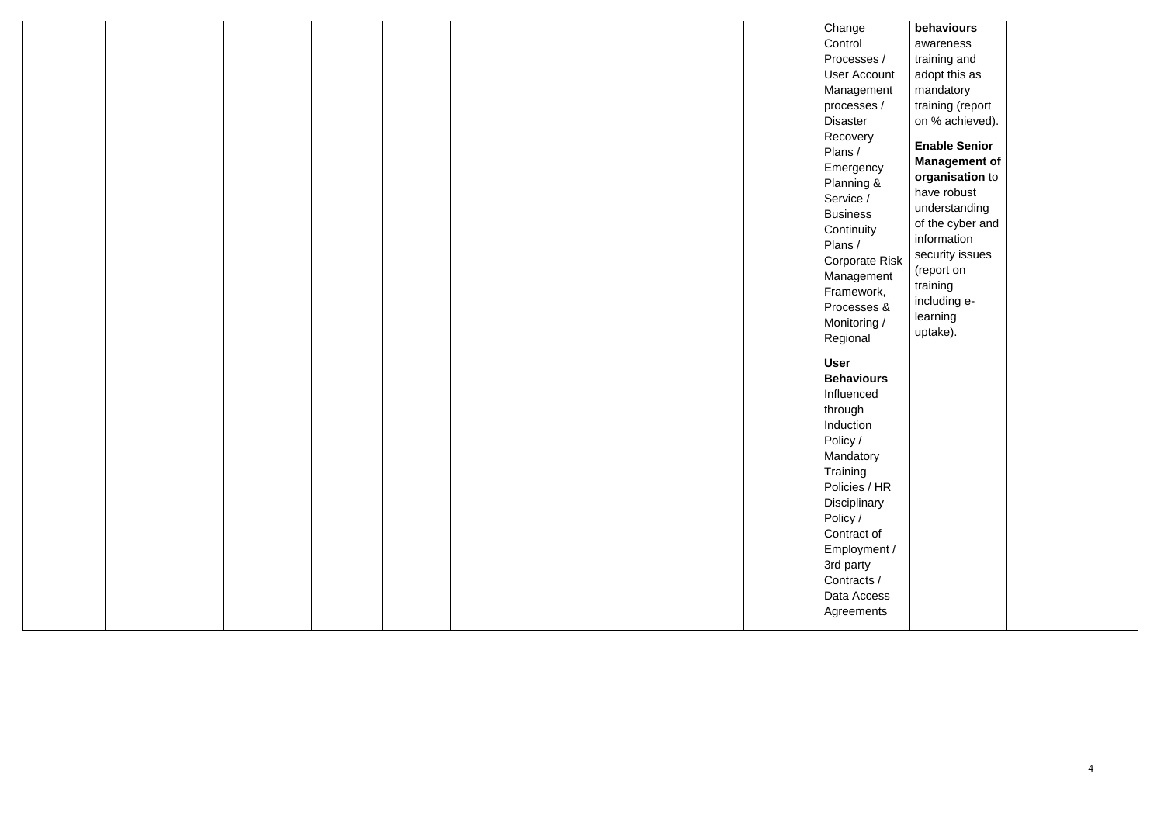|  |  |  | Control<br>Processes /<br>User Account<br>Management<br>processes /<br><b>Disaster</b><br>Recovery<br>Plans /<br>Emergency<br>Planning &<br>Service /<br><b>Business</b><br>Continuity<br>Plans /<br><b>Corporate Risk</b><br>Management<br>Framework,<br>Processes &<br>Monitoring /<br>Regional<br><b>User</b><br><b>Behaviours</b><br>Influenced<br>through | awareness<br>training and<br>adopt this as<br>mandatory<br>training (report<br>on % achieved).<br><b>Enable Senior</b><br><b>Management of</b><br>organisation to<br>have robust<br>understanding<br>of the cyber and<br>information<br>security issues<br>(report on<br>training<br>including e-<br>learning<br>uptake). |  |
|--|--|--|----------------------------------------------------------------------------------------------------------------------------------------------------------------------------------------------------------------------------------------------------------------------------------------------------------------------------------------------------------------|---------------------------------------------------------------------------------------------------------------------------------------------------------------------------------------------------------------------------------------------------------------------------------------------------------------------------|--|
|  |  |  | Induction<br>Policy /<br>Mandatory<br>Training<br>Policies / HR<br>Disciplinary<br>Policy /<br>Contract of<br>Employment /<br>3rd party<br>Contracts /<br>Data Access<br>Agreements                                                                                                                                                                            |                                                                                                                                                                                                                                                                                                                           |  |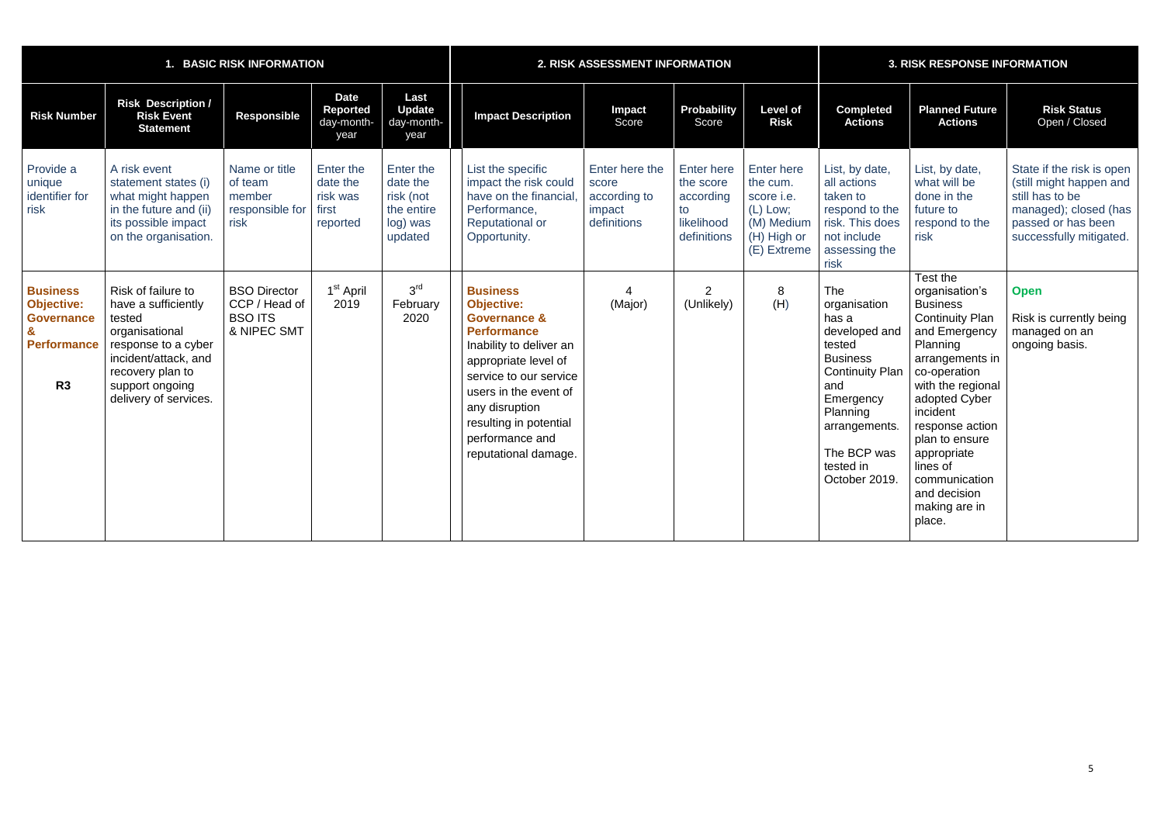|                                                                                       | 1. BASIC RISK INFORMATION                                                                                                                                                            |                                                                       |                                                        |                                                                         |                                                                                                                                                                                                                                                                                    | 2. RISK ASSESSMENT INFORMATION                                   |                                                                                |                                                                                                       | <b>3. RISK RESPONSE INFORMATION</b>                                                                                                                                                                       |                                                                                                                                                                                                                                                                                                                       |                                                                                                                                                   |  |
|---------------------------------------------------------------------------------------|--------------------------------------------------------------------------------------------------------------------------------------------------------------------------------------|-----------------------------------------------------------------------|--------------------------------------------------------|-------------------------------------------------------------------------|------------------------------------------------------------------------------------------------------------------------------------------------------------------------------------------------------------------------------------------------------------------------------------|------------------------------------------------------------------|--------------------------------------------------------------------------------|-------------------------------------------------------------------------------------------------------|-----------------------------------------------------------------------------------------------------------------------------------------------------------------------------------------------------------|-----------------------------------------------------------------------------------------------------------------------------------------------------------------------------------------------------------------------------------------------------------------------------------------------------------------------|---------------------------------------------------------------------------------------------------------------------------------------------------|--|
| <b>Risk Number</b>                                                                    | <b>Risk Description /</b><br><b>Risk Event</b><br><b>Statement</b>                                                                                                                   | <b>Responsible</b>                                                    | <b>Date</b><br>Reported<br>day-month-<br>year          | Last<br><b>Update</b><br>day-month-<br>year                             | <b>Impact Description</b>                                                                                                                                                                                                                                                          | Impact<br>Score                                                  | Probability<br>Score                                                           | <b>Level of</b><br><b>Risk</b>                                                                        | <b>Completed</b><br><b>Actions</b>                                                                                                                                                                        | <b>Planned Future</b><br><b>Actions</b>                                                                                                                                                                                                                                                                               | <b>Risk Status</b><br>Open / Closed                                                                                                               |  |
| Provide a<br>unique<br>identifier for<br>risk                                         | A risk event<br>statement states (i)<br>what might happen<br>in the future and (ii)<br>its possible impact<br>on the organisation.                                                   | Name or title<br>of team<br>member<br>responsible for<br>risk         | Enter the<br>date the<br>risk was<br>first<br>reported | Enter the<br>date the<br>risk (not<br>the entire<br>log) was<br>updated | List the specific<br>impact the risk could<br>have on the financial<br>Performance,<br><b>Reputational or</b><br>Opportunity.                                                                                                                                                      | Enter here the<br>score<br>according to<br>impact<br>definitions | <b>Enter here</b><br>the score<br>according<br>to<br>likelihood<br>definitions | <b>Enter here</b><br>the cum.<br>score i.e.<br>$(L)$ Low;<br>(M) Medium<br>(H) High or<br>(E) Extreme | List, by date,<br>all actions<br>taken to<br>respond to the<br>risk. This does<br>not include<br>assessing the<br>risk                                                                                    | List, by date,<br>what will be<br>done in the<br>future to<br>respond to the<br>risk                                                                                                                                                                                                                                  | State if the risk is open<br>(still might happen and<br>still has to be<br>managed); closed (has<br>passed or has been<br>successfully mitigated. |  |
| <b>Business</b><br><b>Objective:</b><br><b>Governance</b><br><b>Performance</b><br>R3 | Risk of failure to<br>have a sufficiently<br>tested<br>organisational<br>response to a cyber<br>incident/attack, and<br>recovery plan to<br>support ongoing<br>delivery of services. | <b>BSO Director</b><br>CCP / Head of<br><b>BSO ITS</b><br>& NIPEC SMT | 1 <sup>st</sup> April<br>2019                          | 3 <sup>rd</sup><br>February<br>2020                                     | <b>Business</b><br><b>Objective:</b><br><b>Governance &amp;</b><br><b>Performance</b><br>Inability to deliver an<br>appropriate level of<br>service to our service<br>users in the event of<br>any disruption<br>resulting in potential<br>performance and<br>reputational damage. | $\mathbf 4$<br>(Major)                                           | $\overline{2}$<br>(Unlikely)                                                   | 8<br>(H)                                                                                              | <b>The</b><br>organisation<br>has a<br>developed and<br>tested<br><b>Business</b><br><b>Continuity Plan</b><br>and<br>Emergency<br>Planning<br>arrangements.<br>The BCP was<br>tested in<br>October 2019. | Test the<br>organisation's<br><b>Business</b><br><b>Continuity Plan</b><br>and Emergency<br>Planning<br>arrangements in<br>co-operation<br>with the regional<br>adopted Cyber<br>incident<br>response action<br>plan to ensure<br>appropriate<br>lines of<br>communication<br>and decision<br>making are in<br>place. | <b>Open</b><br>Risk is currently being<br>managed on an<br>ongoing basis.                                                                         |  |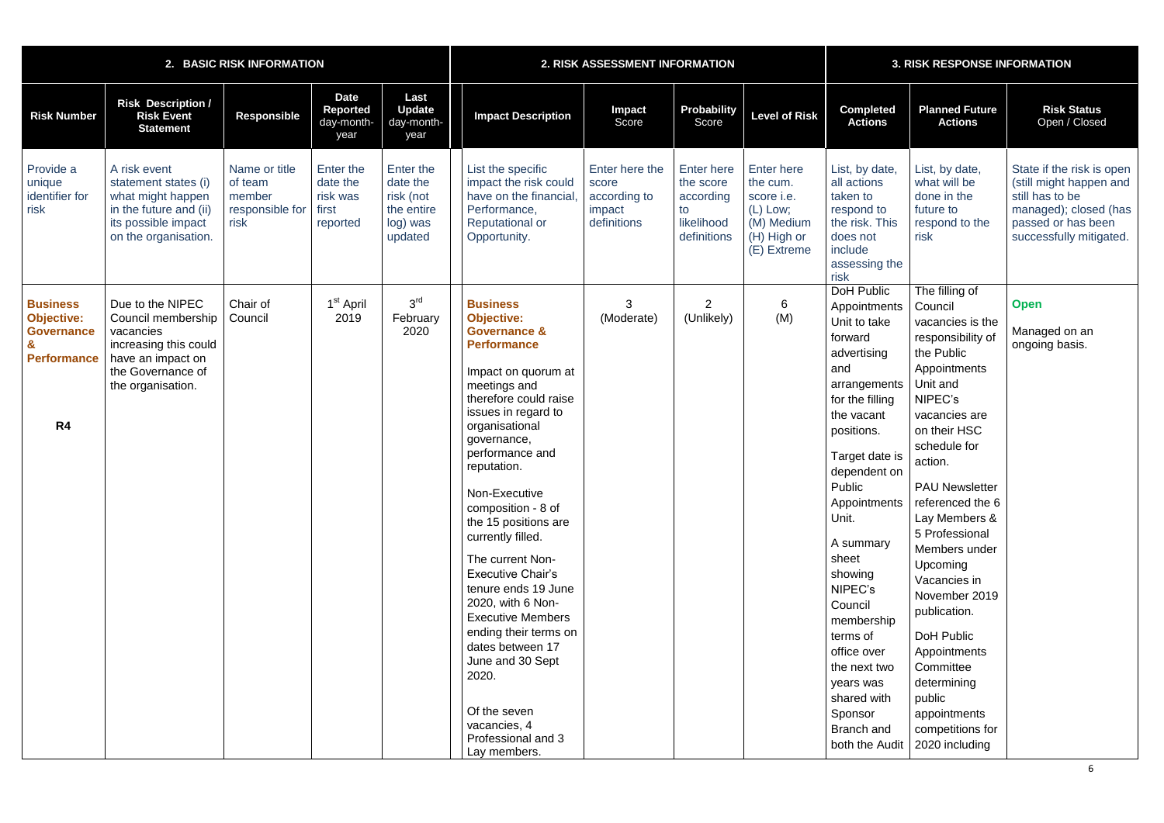|                                                                                                   |                                                                                                                                             | 2. BASIC RISK INFORMATION                                     |                                                        |                                                                         |                                                                                                                                                                                                                                                                                                                                                                                                                                                                                                                                                                                                             | 2. RISK ASSESSMENT INFORMATION                                   |                                                                                | <b>3. RISK RESPONSE INFORMATION</b>                                                                   |                                                                                                                                                                                                                                                                                                                                                                                                        |                                                                                                                                                                                                                                                                                                                                                                                                                                                                             |                                                                                                                                                   |
|---------------------------------------------------------------------------------------------------|---------------------------------------------------------------------------------------------------------------------------------------------|---------------------------------------------------------------|--------------------------------------------------------|-------------------------------------------------------------------------|-------------------------------------------------------------------------------------------------------------------------------------------------------------------------------------------------------------------------------------------------------------------------------------------------------------------------------------------------------------------------------------------------------------------------------------------------------------------------------------------------------------------------------------------------------------------------------------------------------------|------------------------------------------------------------------|--------------------------------------------------------------------------------|-------------------------------------------------------------------------------------------------------|--------------------------------------------------------------------------------------------------------------------------------------------------------------------------------------------------------------------------------------------------------------------------------------------------------------------------------------------------------------------------------------------------------|-----------------------------------------------------------------------------------------------------------------------------------------------------------------------------------------------------------------------------------------------------------------------------------------------------------------------------------------------------------------------------------------------------------------------------------------------------------------------------|---------------------------------------------------------------------------------------------------------------------------------------------------|
| <b>Risk Number</b>                                                                                | <b>Risk Description /</b><br><b>Risk Event</b><br><b>Statement</b>                                                                          | <b>Responsible</b>                                            | <b>Date</b><br><b>Reported</b><br>day-month-<br>year   | Last<br><b>Update</b><br>day-month-<br>year                             | <b>Impact Description</b>                                                                                                                                                                                                                                                                                                                                                                                                                                                                                                                                                                                   | Impact<br>Score                                                  | Probability<br>Score                                                           | <b>Level of Risk</b>                                                                                  | <b>Completed</b><br><b>Actions</b>                                                                                                                                                                                                                                                                                                                                                                     | <b>Planned Future</b><br><b>Actions</b>                                                                                                                                                                                                                                                                                                                                                                                                                                     | <b>Risk Status</b><br>Open / Closed                                                                                                               |
| Provide a<br>unique<br>identifier for<br>risk                                                     | A risk event<br>statement states (i)<br>what might happen<br>in the future and (ii)<br>its possible impact<br>on the organisation.          | Name or title<br>of team<br>member<br>responsible for<br>risk | Enter the<br>date the<br>risk was<br>first<br>reported | Enter the<br>date the<br>risk (not<br>the entire<br>log) was<br>updated | List the specific<br>impact the risk could<br>have on the financial<br>Performance,<br><b>Reputational or</b><br>Opportunity.                                                                                                                                                                                                                                                                                                                                                                                                                                                                               | Enter here the<br>score<br>according to<br>impact<br>definitions | <b>Enter here</b><br>the score<br>according<br>to<br>likelihood<br>definitions | <b>Enter here</b><br>the cum.<br>score i.e.<br>$(L)$ Low;<br>(M) Medium<br>(H) High or<br>(E) Extreme | List, by date,<br>all actions<br>taken to<br>respond to<br>the risk. This<br>does not<br>include<br>assessing the<br>risk                                                                                                                                                                                                                                                                              | List, by date,<br>what will be<br>done in the<br>future to<br>respond to the<br>risk                                                                                                                                                                                                                                                                                                                                                                                        | State if the risk is open<br>(still might happen and<br>still has to be<br>managed); closed (has<br>passed or has been<br>successfully mitigated. |
| <b>Business</b><br><b>Objective:</b><br><b>Governance</b><br><b>Performance</b><br>R <sub>4</sub> | Due to the NIPEC<br>Council membership<br>vacancies<br>increasing this could<br>have an impact on<br>the Governance of<br>the organisation. | Chair of<br>Council                                           | 1 <sup>st</sup> April<br>2019                          | 3 <sup>rd</sup><br>February<br>2020                                     | <b>Business</b><br><b>Objective:</b><br><b>Governance &amp;</b><br><b>Performance</b><br>Impact on quorum at<br>meetings and<br>therefore could raise<br>issues in regard to<br>organisational<br>governance,<br>performance and<br>reputation.<br>Non-Executive<br>composition - 8 of<br>the 15 positions are<br>currently filled.<br>The current Non-<br><b>Executive Chair's</b><br>tenure ends 19 June<br>2020, with 6 Non-<br><b>Executive Members</b><br>ending their terms on<br>dates between 17<br>June and 30 Sept<br>2020.<br>Of the seven<br>vacancies, 4<br>Professional and 3<br>Lay members. | 3<br>(Moderate)                                                  | $\overline{2}$<br>(Unlikely)                                                   | 6<br>(M)                                                                                              | DoH Public<br>Appointments<br>Unit to take<br>forward<br>advertising<br>and<br>arrangements<br>for the filling<br>the vacant<br>positions.<br>Target date is<br>dependent on<br>Public<br>Appointments<br>Unit.<br>A summary<br>sheet<br>showing<br>NIPEC's<br>Council<br>membership<br>terms of<br>office over<br>the next two<br>years was<br>shared with<br>Sponsor<br>Branch and<br>both the Audit | The filling of<br>Council<br>vacancies is the<br>responsibility of<br>the Public<br>Appointments<br>Unit and<br>NIPEC's<br>vacancies are<br>on their HSC<br>schedule for<br>action.<br><b>PAU Newsletter</b><br>referenced the 6<br>Lay Members &<br>5 Professional<br>Members under<br>Upcoming<br>Vacancies in<br>November 2019<br>publication.<br>DoH Public<br>Appointments<br>Committee<br>determining<br>public<br>appointments<br>competitions for<br>2020 including | <b>Open</b><br>Managed on an<br>ongoing basis.                                                                                                    |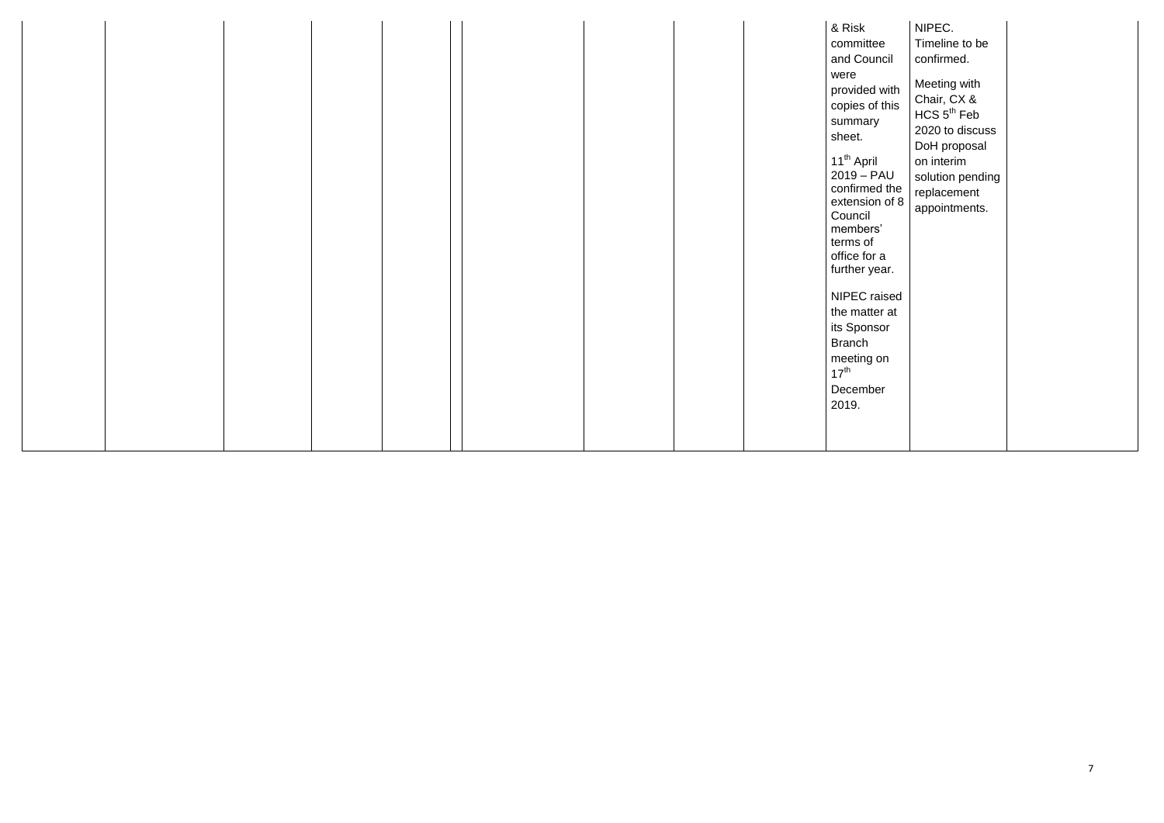|  |  |  |  |  |  | & Risk<br>committee<br>and Council<br>were<br>provided with<br>copies of this<br>summary<br>sheet.<br>11 <sup>th</sup> April<br>$2019 - PAU$<br>confirmed the<br>extension of 8<br>Council<br>members'<br>terms of<br>office for a<br>further year.<br>NIPEC raised<br>the matter at<br>its Sponsor<br><b>Branch</b><br>meeting on<br>$17^{\text{th}}$<br>December | NIPEC.<br>Timeline to be<br>confirmed.<br>Meeting with<br>Chair, CX &<br>HCS 5 <sup>th</sup> Feb<br>2020 to discuss<br>DoH proposal<br>on interim<br>solution pending<br>replacement<br>appointments. |  |
|--|--|--|--|--|--|--------------------------------------------------------------------------------------------------------------------------------------------------------------------------------------------------------------------------------------------------------------------------------------------------------------------------------------------------------------------|-------------------------------------------------------------------------------------------------------------------------------------------------------------------------------------------------------|--|
|--|--|--|--|--|--|--------------------------------------------------------------------------------------------------------------------------------------------------------------------------------------------------------------------------------------------------------------------------------------------------------------------------------------------------------------------|-------------------------------------------------------------------------------------------------------------------------------------------------------------------------------------------------------|--|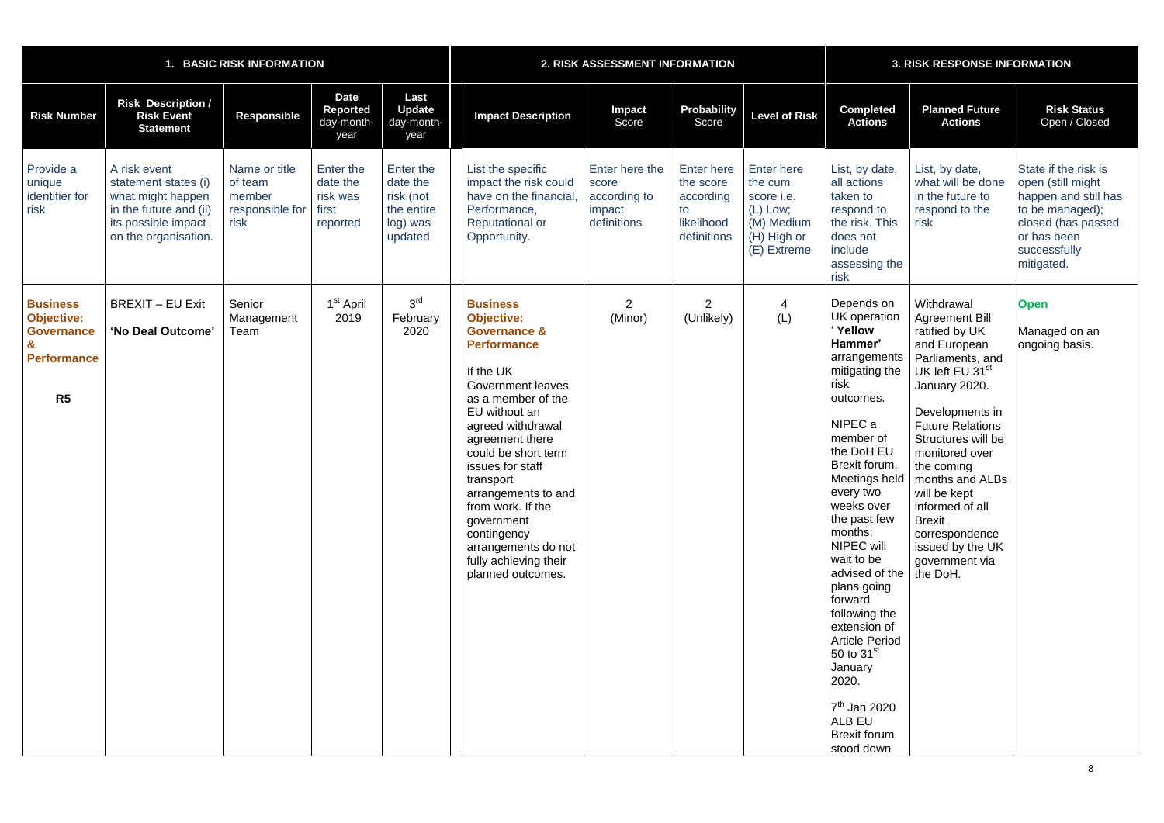|                                                                                                   | <b>BASIC RISK INFORMATION</b><br>1.                                                                                                |                                                               |                                                        | 2. RISK ASSESSMENT INFORMATION                                          |                                                                                                                                                                                                                                                                                                                                                                                                                     | <b>3. RISK RESPONSE INFORMATION</b>                              |                                                                                |                                                                                                |                                                                                                                                                                                                                                                                                                                                                                                                                                                            |                                                                                                                                                                                                                                                                                                                                                                                                          |                                                                                                                                                         |
|---------------------------------------------------------------------------------------------------|------------------------------------------------------------------------------------------------------------------------------------|---------------------------------------------------------------|--------------------------------------------------------|-------------------------------------------------------------------------|---------------------------------------------------------------------------------------------------------------------------------------------------------------------------------------------------------------------------------------------------------------------------------------------------------------------------------------------------------------------------------------------------------------------|------------------------------------------------------------------|--------------------------------------------------------------------------------|------------------------------------------------------------------------------------------------|------------------------------------------------------------------------------------------------------------------------------------------------------------------------------------------------------------------------------------------------------------------------------------------------------------------------------------------------------------------------------------------------------------------------------------------------------------|----------------------------------------------------------------------------------------------------------------------------------------------------------------------------------------------------------------------------------------------------------------------------------------------------------------------------------------------------------------------------------------------------------|---------------------------------------------------------------------------------------------------------------------------------------------------------|
| <b>Risk Number</b>                                                                                | <b>Risk Description /</b><br><b>Risk Event</b><br><b>Statement</b>                                                                 | <b>Responsible</b>                                            | <b>Date</b><br>Reported<br>day-month-<br>year          | Last<br><b>Update</b><br>day-month-<br>year                             | <b>Impact Description</b>                                                                                                                                                                                                                                                                                                                                                                                           | <b>Impact</b><br>Score                                           | <b>Probability</b><br>Score                                                    | <b>Level of Risk</b>                                                                           | <b>Completed</b><br><b>Actions</b>                                                                                                                                                                                                                                                                                                                                                                                                                         | <b>Planned Future</b><br><b>Actions</b>                                                                                                                                                                                                                                                                                                                                                                  | <b>Risk Status</b><br>Open / Closed                                                                                                                     |
| Provide a<br>unique<br>identifier for<br>risk                                                     | A risk event<br>statement states (i)<br>what might happen<br>in the future and (ii)<br>its possible impact<br>on the organisation. | Name or title<br>of team<br>member<br>responsible for<br>risk | Enter the<br>date the<br>risk was<br>first<br>reported | Enter the<br>date the<br>risk (not<br>the entire<br>log) was<br>updated | List the specific<br>impact the risk could<br>have on the financial<br>Performance,<br><b>Reputational or</b><br>Opportunity.                                                                                                                                                                                                                                                                                       | Enter here the<br>score<br>according to<br>impact<br>definitions | <b>Enter here</b><br>the score<br>according<br>to<br>likelihood<br>definitions | Enter here<br>the cum.<br>score i.e.<br>$(L)$ Low;<br>(M) Medium<br>(H) High or<br>(E) Extreme | List, by date,<br>all actions<br>taken to<br>respond to<br>the risk. This<br>does not<br>include<br>assessing the<br>risk                                                                                                                                                                                                                                                                                                                                  | List, by date,<br>what will be done<br>in the future to<br>respond to the<br>risk                                                                                                                                                                                                                                                                                                                        | State if the risk is<br>open (still might<br>happen and still has<br>to be managed);<br>closed (has passed<br>or has been<br>successfully<br>mitigated. |
| <b>Business</b><br><b>Objective:</b><br><b>Governance</b><br><b>Performance</b><br>R <sub>5</sub> | <b>BREXIT - EU Exit</b><br>'No Deal Outcome'                                                                                       | Senior<br>Management<br>Team                                  | 1 <sup>st</sup> April<br>2019                          | 3 <sup>rd</sup><br>February<br>2020                                     | <b>Business</b><br><b>Objective:</b><br><b>Governance &amp;</b><br><b>Performance</b><br>If the UK<br><b>Government leaves</b><br>as a member of the<br>EU without an<br>agreed withdrawal<br>agreement there<br>could be short term<br>issues for staff<br>transport<br>arrangements to and<br>from work. If the<br>government<br>contingency<br>arrangements do not<br>fully achieving their<br>planned outcomes. | 2<br>(Minor)                                                     | $\overline{2}$<br>(Unlikely)                                                   | $\overline{4}$<br>(L)                                                                          | Depends on<br>UK operation<br>Yellow<br>Hammer'<br>arrangements<br>mitigating the<br>risk<br>outcomes.<br>NIPEC a<br>member of<br>the DoH EU<br>Brexit forum.<br>every two<br>weeks over<br>the past few<br>months;<br>NIPEC will<br>wait to be<br>advised of the<br>plans going<br>forward<br>following the<br>extension of<br><b>Article Period</b><br>50 to $31st$<br>January<br>2020.<br>$7th$ Jan 2020<br>ALB EU<br><b>Brexit forum</b><br>stood down | Withdrawal<br><b>Agreement Bill</b><br>ratified by UK<br>and European<br>Parliaments, and<br>UK left EU 31 <sup>st</sup><br>January 2020.<br>Developments in<br><b>Future Relations</b><br>Structures will be<br>monitored over<br>the coming<br>Meetings held   months and ALBs<br>will be kept<br>informed of all<br><b>Brexit</b><br>correspondence<br>issued by the UK<br>government via<br>the DoH. | <b>Open</b><br>Managed on an<br>ongoing basis.                                                                                                          |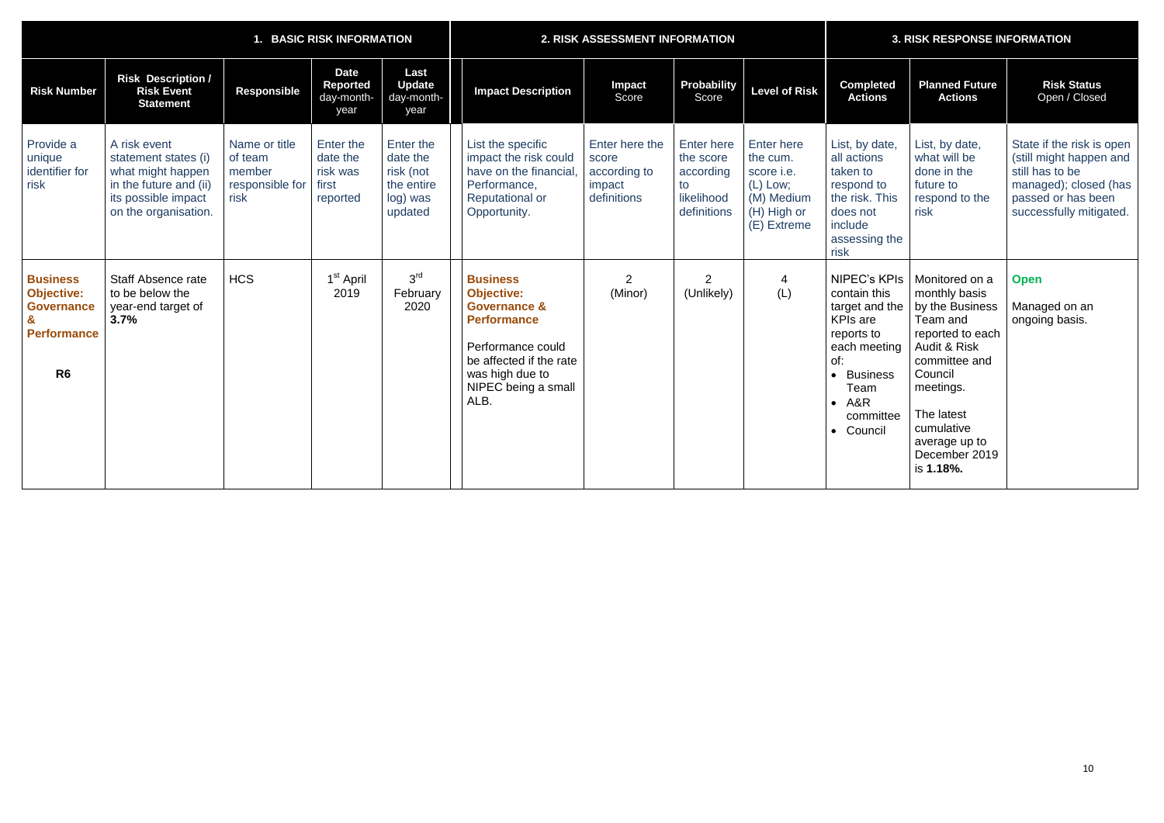| 1. BASIC RISK INFORMATION                                                                         |                                                                                                                                    |                                                               |                                                        |                                                                         |                                                                                                                                                                                         | 2. RISK ASSESSMENT INFORMATION                                   |                                                                                | <b>3. RISK RESPONSE INFORMATION</b>                                                                   |                                                                                                                                                                           |                                                                                                                                                                                                                        |                                                                                                                                                   |
|---------------------------------------------------------------------------------------------------|------------------------------------------------------------------------------------------------------------------------------------|---------------------------------------------------------------|--------------------------------------------------------|-------------------------------------------------------------------------|-----------------------------------------------------------------------------------------------------------------------------------------------------------------------------------------|------------------------------------------------------------------|--------------------------------------------------------------------------------|-------------------------------------------------------------------------------------------------------|---------------------------------------------------------------------------------------------------------------------------------------------------------------------------|------------------------------------------------------------------------------------------------------------------------------------------------------------------------------------------------------------------------|---------------------------------------------------------------------------------------------------------------------------------------------------|
| <b>Risk Number</b>                                                                                | <b>Risk Description /</b><br><b>Risk Event</b><br><b>Statement</b>                                                                 | <b>Responsible</b>                                            | <b>Date</b><br>Reported<br>day-month-<br>year          | Last<br><b>Update</b><br>day-month-<br>year                             | <b>Impact Description</b>                                                                                                                                                               | Impact<br>Score                                                  | Probability<br>Score                                                           | <b>Level of Risk</b>                                                                                  | <b>Completed</b><br><b>Actions</b>                                                                                                                                        | <b>Planned Future</b><br><b>Actions</b>                                                                                                                                                                                | <b>Risk Status</b><br>Open / Closed                                                                                                               |
| Provide a<br>unique<br>identifier for<br>risk                                                     | A risk event<br>statement states (i)<br>what might happen<br>in the future and (ii)<br>its possible impact<br>on the organisation. | Name or title<br>of team<br>member<br>responsible for<br>risk | Enter the<br>date the<br>risk was<br>first<br>reported | Enter the<br>date the<br>risk (not<br>the entire<br>log) was<br>updated | List the specific<br>impact the risk could<br>have on the financial<br>Performance,<br><b>Reputational or</b><br>Opportunity.                                                           | Enter here the<br>score<br>according to<br>impact<br>definitions | <b>Enter here</b><br>the score<br>according<br>to<br>likelihood<br>definitions | <b>Enter here</b><br>the cum.<br>score i.e.<br>$(L)$ Low;<br>(M) Medium<br>(H) High or<br>(E) Extreme | List, by date,<br>all actions<br>taken to<br>respond to<br>the risk. This<br>does not<br>include<br>assessing the<br>risk                                                 | List, by date,<br>what will be<br>done in the<br>future to<br>respond to the<br>risk                                                                                                                                   | State if the risk is open<br>(still might happen and<br>still has to be<br>managed); closed (has<br>passed or has been<br>successfully mitigated. |
| <b>Business</b><br><b>Objective:</b><br><b>Governance</b><br><b>Performance</b><br>R <sub>6</sub> | <b>Staff Absence rate</b><br>to be below the<br>year-end target of<br>3.7%                                                         | <b>HCS</b>                                                    | 1 <sup>st</sup> April<br>2019                          | 3 <sup>rd</sup><br>February<br>2020                                     | <b>Business</b><br><b>Objective:</b><br><b>Governance &amp;</b><br><b>Performance</b><br>Performance could<br>be affected if the rate<br>was high due to<br>NIPEC being a small<br>ALB. | $\overline{2}$<br>(Minor)                                        | $\overline{2}$<br>(Unlikely)                                                   | $\overline{4}$<br>(L)                                                                                 | <b>NIPEC's KPIs</b><br>contain this<br>target and the<br><b>KPIs are</b><br>reports to<br>each meeting<br>of:<br><b>Business</b><br>Team<br>A&R<br>committee<br>• Council | Monitored on a<br>monthly basis<br>by the Business<br>Team and<br>reported to each<br>Audit & Risk<br>committee and<br>Council<br>meetings.<br>The latest<br>cumulative<br>average up to<br>December 2019<br>is 1.18%. | <b>Open</b><br>Managed on an<br>ongoing basis.                                                                                                    |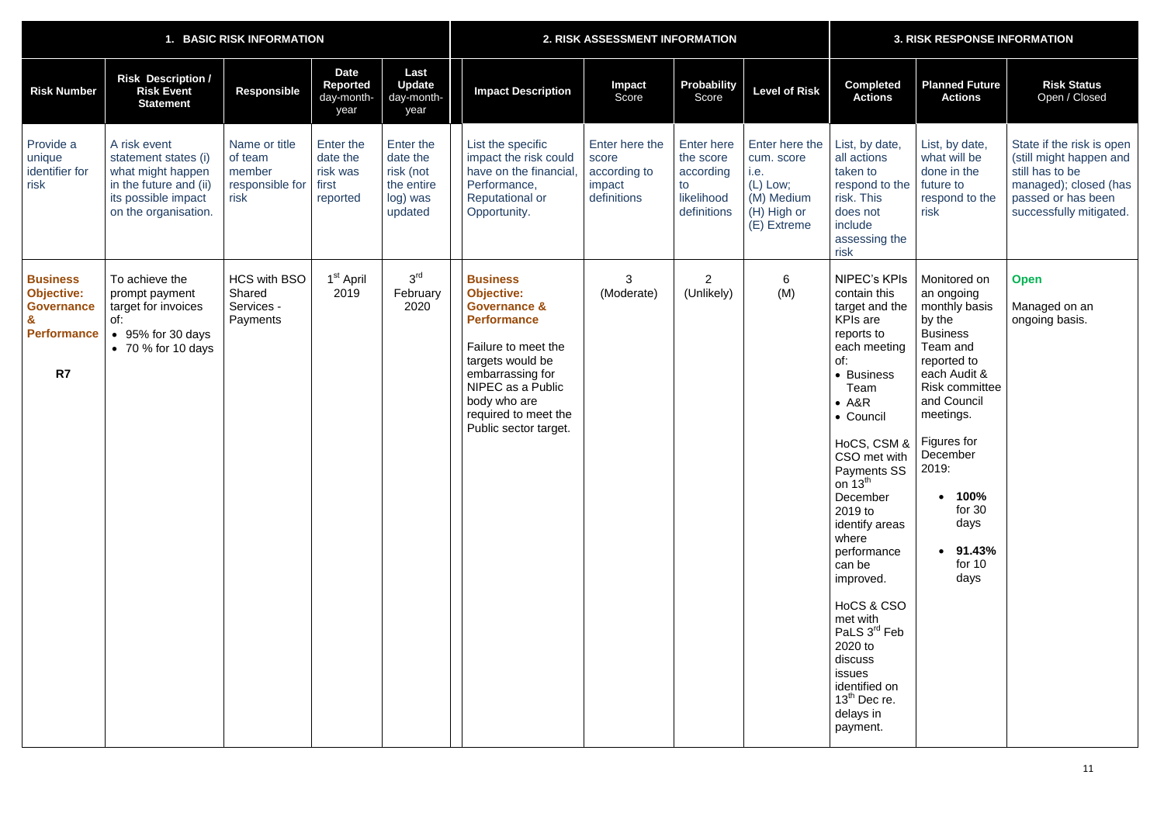|                                                                                       | <b>BASIC RISK INFORMATION</b>                                                                                                      |                                                               |                                                        |                                                                         |                                                                                                                                                                                                                                            | 2. RISK ASSESSMENT INFORMATION                                   |                                                                                |                                                                                              |                                                                                                                                                                                                                                                                                                                                                                                                                                                                    | <b>3. RISK RESPONSE INFORMATION</b>                                                                                                                                                                                                                        |                                                                                                                                                   |  |  |
|---------------------------------------------------------------------------------------|------------------------------------------------------------------------------------------------------------------------------------|---------------------------------------------------------------|--------------------------------------------------------|-------------------------------------------------------------------------|--------------------------------------------------------------------------------------------------------------------------------------------------------------------------------------------------------------------------------------------|------------------------------------------------------------------|--------------------------------------------------------------------------------|----------------------------------------------------------------------------------------------|--------------------------------------------------------------------------------------------------------------------------------------------------------------------------------------------------------------------------------------------------------------------------------------------------------------------------------------------------------------------------------------------------------------------------------------------------------------------|------------------------------------------------------------------------------------------------------------------------------------------------------------------------------------------------------------------------------------------------------------|---------------------------------------------------------------------------------------------------------------------------------------------------|--|--|
| <b>Risk Number</b>                                                                    | <b>Risk Description /</b><br><b>Risk Event</b><br><b>Statement</b>                                                                 | <b>Responsible</b>                                            | <b>Date</b><br><b>Reported</b><br>day-month-<br>year   | Last<br><b>Update</b><br>day-month-<br>year                             | <b>Impact Description</b>                                                                                                                                                                                                                  | <b>Impact</b><br>Score                                           | <b>Probability</b><br>Score                                                    | <b>Level of Risk</b>                                                                         | <b>Completed</b><br><b>Actions</b>                                                                                                                                                                                                                                                                                                                                                                                                                                 | <b>Planned Future</b><br><b>Actions</b>                                                                                                                                                                                                                    | <b>Risk Status</b><br>Open / Closed                                                                                                               |  |  |
| Provide a<br>unique<br>identifier for<br>risk                                         | A risk event<br>statement states (i)<br>what might happen<br>in the future and (ii)<br>its possible impact<br>on the organisation. | Name or title<br>of team<br>member<br>responsible for<br>risk | Enter the<br>date the<br>risk was<br>first<br>reported | Enter the<br>date the<br>risk (not<br>the entire<br>log) was<br>updated | List the specific<br>impact the risk could<br>have on the financial<br>Performance,<br><b>Reputational or</b><br>Opportunity.                                                                                                              | Enter here the<br>score<br>according to<br>impact<br>definitions | <b>Enter here</b><br>the score<br>according<br>to<br>likelihood<br>definitions | Enter here the<br>cum. score<br>i.e.<br>(L) Low;<br>(M) Medium<br>(H) High or<br>(E) Extreme | List, by date,<br>all actions<br>taken to<br>respond to the<br>risk. This<br>does not<br>include<br>assessing the<br>risk                                                                                                                                                                                                                                                                                                                                          | List, by date,<br>what will be<br>done in the<br>future to<br>respond to the<br>risk                                                                                                                                                                       | State if the risk is open<br>(still might happen and<br>still has to be<br>managed); closed (has<br>passed or has been<br>successfully mitigated. |  |  |
| <b>Business</b><br><b>Objective:</b><br><b>Governance</b><br><b>Performance</b><br>R7 | To achieve the<br>prompt payment<br>target for invoices<br>of:<br>95% for 30 days<br>$\bullet$ 70 % for 10 days                    | <b>HCS with BSO</b><br>Shared<br>Services -<br>Payments       | 1 <sup>st</sup> April<br>2019                          | 3 <sup>rd</sup><br>February<br>2020                                     | <b>Business</b><br><b>Objective:</b><br><b>Governance &amp;</b><br><b>Performance</b><br>Failure to meet the<br>targets would be<br>embarrassing for<br>NIPEC as a Public<br>body who are<br>required to meet the<br>Public sector target. | 3<br>(Moderate)                                                  | $\overline{2}$<br>(Unlikely)                                                   | $6\overline{6}$<br>(M)                                                                       | <b>NIPEC's KPIs</b><br>contain this<br>target and the<br><b>KPIs</b> are<br>reports to<br>each meeting<br>of:<br>• Business<br>Team<br>$- A&R$<br>• Council<br>HoCS, CSM &<br>CSO met with   December<br>Payments SS<br>on $13^{th}$<br>December<br>2019 to<br>identify areas<br>where<br>performance<br>can be<br>improved.<br>HoCS & CSO<br>met with<br>PaLS 3rd Feb<br>2020 to<br>discuss<br>issues<br>identified on<br>$13th$ Dec re.<br>delays in<br>payment. | Monitored on<br>an ongoing<br>monthly basis<br>by the<br><b>Business</b><br>Team and<br>reported to<br>each Audit &<br><b>Risk committee</b><br>and Council<br>meetings.<br>Figures for<br>2019:<br>100%<br>for $30$<br>days<br>91.43%<br>for $10$<br>days | <b>Open</b><br>Managed on an<br>ongoing basis.                                                                                                    |  |  |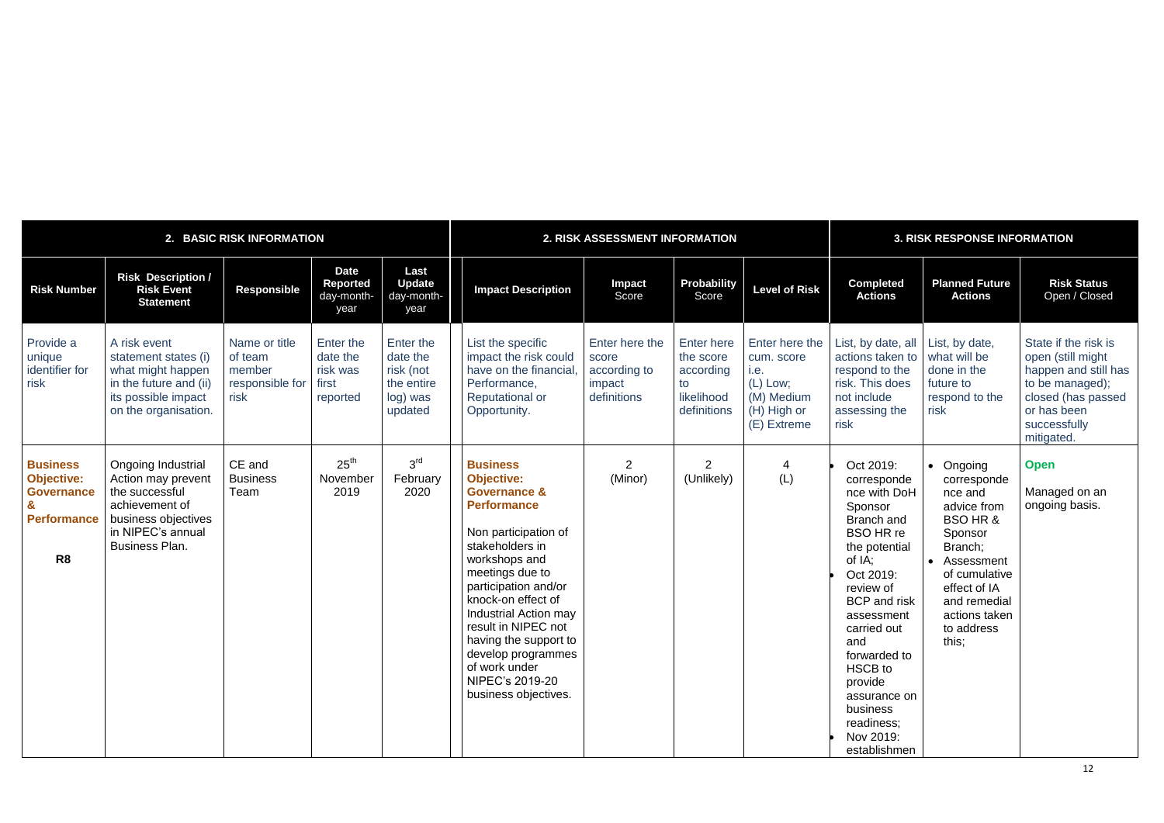# 12

|                                                                                                   | 2. BASIC RISK INFORMATION                                                                                                                         |                                                               |                                                               |                                                                         | 2. RISK ASSESSMENT INFORMATION                                                                                                                                                                                                                                                                                                                                                |                                                                  |                                                                                |                                                                                              | <b>3. RISK RESPONSE INFORMATION</b>                                                                                                                                                                                                                                                                                |                                                                                                                                                                                                          |                                                                                                                                                         |  |
|---------------------------------------------------------------------------------------------------|---------------------------------------------------------------------------------------------------------------------------------------------------|---------------------------------------------------------------|---------------------------------------------------------------|-------------------------------------------------------------------------|-------------------------------------------------------------------------------------------------------------------------------------------------------------------------------------------------------------------------------------------------------------------------------------------------------------------------------------------------------------------------------|------------------------------------------------------------------|--------------------------------------------------------------------------------|----------------------------------------------------------------------------------------------|--------------------------------------------------------------------------------------------------------------------------------------------------------------------------------------------------------------------------------------------------------------------------------------------------------------------|----------------------------------------------------------------------------------------------------------------------------------------------------------------------------------------------------------|---------------------------------------------------------------------------------------------------------------------------------------------------------|--|
| <b>Risk Number</b>                                                                                | <b>Risk Description /</b><br><b>Risk Event</b><br><b>Statement</b>                                                                                | <b>Responsible</b>                                            | <b>Date</b><br><b>Reported</b><br>day-month-<br>year          | Last<br><b>Update</b><br>day-month-<br>year                             | <b>Impact Description</b>                                                                                                                                                                                                                                                                                                                                                     | <b>Impact</b><br>Score                                           | <b>Probability</b><br>Score                                                    | <b>Level of Risk</b>                                                                         | <b>Completed</b><br><b>Actions</b>                                                                                                                                                                                                                                                                                 | <b>Planned Future</b><br><b>Actions</b>                                                                                                                                                                  | <b>Risk Status</b><br>Open / Closed                                                                                                                     |  |
| Provide a<br>unique<br>identifier for<br>risk                                                     | A risk event<br>statement states (i)<br>what might happen<br>in the future and (ii)<br>its possible impact<br>on the organisation.                | Name or title<br>of team<br>member<br>responsible for<br>risk | <b>Enter the</b><br>date the<br>risk was<br>first<br>reported | Enter the<br>date the<br>risk (not<br>the entire<br>log) was<br>updated | List the specific<br>impact the risk could<br>have on the financial<br>Performance,<br><b>Reputational or</b><br>Opportunity.                                                                                                                                                                                                                                                 | Enter here the<br>score<br>according to<br>impact<br>definitions | <b>Enter here</b><br>the score<br>according<br>to<br>likelihood<br>definitions | Enter here the<br>cum. score<br>i.e.<br>(L) Low;<br>(M) Medium<br>(H) High or<br>(E) Extreme | List, by date, all<br>actions taken to<br>respond to the<br>risk. This does<br>not include<br>assessing the<br>risk                                                                                                                                                                                                | List, by date,<br>what will be<br>done in the<br>future to<br>respond to the<br>risk                                                                                                                     | State if the risk is<br>open (still might<br>happen and still has<br>to be managed);<br>closed (has passed<br>or has been<br>successfully<br>mitigated. |  |
| <b>Business</b><br><b>Objective:</b><br><b>Governance</b><br><b>Performance</b><br>R <sub>8</sub> | Ongoing Industrial<br>Action may prevent<br>the successful<br>achievement of<br>business objectives<br>in NIPEC's annual<br><b>Business Plan.</b> | CE and<br><b>Business</b><br>Team                             | 25 <sup>th</sup><br>November<br>2019                          | 3 <sup>rd</sup><br>February<br>2020                                     | <b>Business</b><br><b>Objective:</b><br><b>Governance &amp;</b><br><b>Performance</b><br>Non participation of<br>stakeholders in<br>workshops and<br>meetings due to<br>participation and/or<br>knock-on effect of<br>Industrial Action may<br>result in NIPEC not<br>having the support to<br>develop programmes<br>of work under<br>NIPEC's 2019-20<br>business objectives. | $\overline{2}$<br>(Minor)                                        | $\overline{2}$<br>(Unlikely)                                                   | 4<br>(L)                                                                                     | Oct 2019:<br>corresponde<br>nce with DoH<br>Sponsor<br>Branch and<br><b>BSO HR re</b><br>the potential<br>of IA;<br>Oct 2019:<br>review of<br><b>BCP</b> and risk<br>assessment<br>carried out<br>and<br>forwarded to<br>HSCB to<br>provide<br>assurance on<br>business<br>readiness;<br>Nov 2019:<br>establishmen | • Ongoing<br>corresponde<br>nce and<br>advice from<br><b>BSO HR &amp;</b><br>Sponsor<br>Branch;<br>• Assessment<br>of cumulative<br>effect of IA<br>and remedial<br>actions taken<br>to address<br>this; | <b>Open</b><br>Managed on an<br>ongoing basis.                                                                                                          |  |